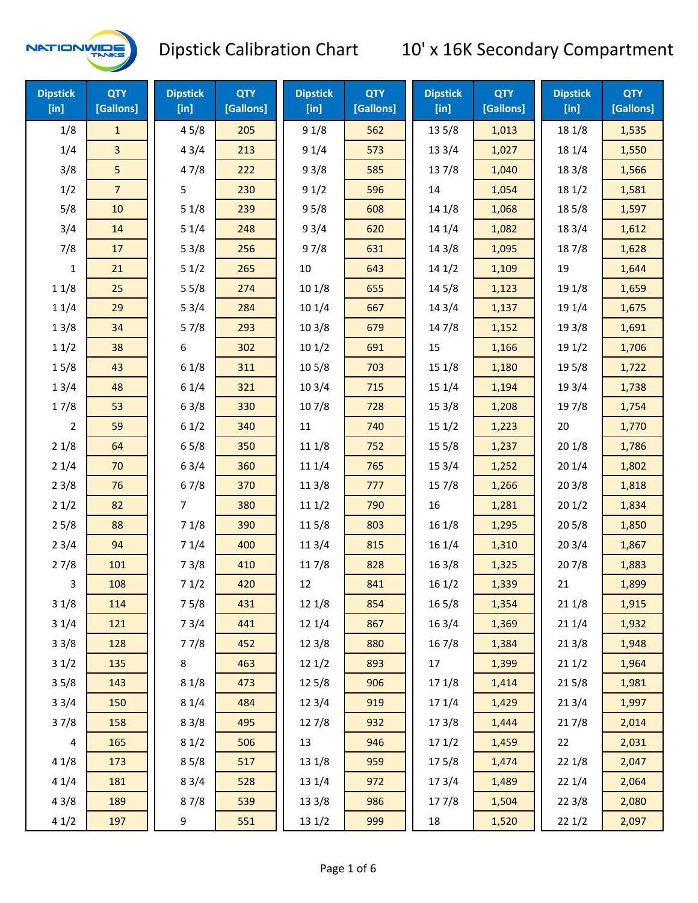

| <b>Dipstick</b><br>$[$ in] | <b>QTY</b><br>[Gallons] | <b>Dipstick</b><br>$[$ in] | <b>QTY</b><br>[Gallons] | <b>Dipstick</b><br>[in] | <b>QTY</b><br>[Gallons] | <b>Dipstick</b><br>$[$ in] | <b>QTY</b><br>[Gallons] | <b>Dipstick</b><br>[in] | <b>QTY</b><br>[Gallons] |
|----------------------------|-------------------------|----------------------------|-------------------------|-------------------------|-------------------------|----------------------------|-------------------------|-------------------------|-------------------------|
| 1/8                        | $\mathbf{1}$            | 45/8                       | 205                     | 91/8                    | 562                     | 135/8                      | 1,013                   | 18 1/8                  | 1,535                   |
| 1/4                        | $\overline{3}$          | 43/4                       | 213                     | 91/4                    | 573                     | 133/4                      | 1,027                   | 18 1/4                  | 1,550                   |
| 3/8                        | 5                       | 47/8                       | 222                     | 93/8                    | 585                     | 137/8                      | 1,040                   | 18 3/8                  | 1,566                   |
| 1/2                        | $\overline{7}$          | 5                          | 230                     | 91/2                    | 596                     | 14                         | 1,054                   | 18 1/2                  | 1,581                   |
| 5/8                        | 10                      | 51/8                       | 239                     | 95/8                    | 608                     | 14 1/8                     | 1,068                   | 185/8                   | 1,597                   |
| 3/4                        | 14                      | 51/4                       | 248                     | 93/4                    | 620                     | 14 1/4                     | 1,082                   | 18 3/4                  | 1,612                   |
| 7/8                        | 17                      | 53/8                       | 256                     | 97/8                    | 631                     | 14 3/8                     | 1,095                   | 187/8                   | 1,628                   |
| $\mathbf{1}$               | 21                      | 51/2                       | 265                     | 10                      | 643                     | 141/2                      | 1,109                   | 19                      | 1,644                   |
| 11/8                       | 25                      | 55/8                       | 274                     | 101/8                   | 655                     | 145/8                      | 1,123                   | 19 1/8                  | 1,659                   |
| 11/4                       | 29                      | 53/4                       | 284                     | 101/4                   | 667                     | 14 3/4                     | 1,137                   | 19 1/4                  | 1,675                   |
| 13/8                       | 34                      | 57/8                       | 293                     | 103/8                   | 679                     | 147/8                      | 1,152                   | 19 3/8                  | 1,691                   |
| 11/2                       | 38                      | 6                          | 302                     | 101/2                   | 691                     | 15                         | 1,166                   | 19 1/2                  | 1,706                   |
| 15/8                       | 43                      | 61/8                       | 311                     | 10 <sub>5/8</sub>       | 703                     | 15 1/8                     | 1,180                   | 19 5/8                  | 1,722                   |
| 13/4                       | 48                      | 61/4                       | 321                     | 103/4                   | 715                     | 15 1/4                     | 1,194                   | 19 3/4                  | 1,738                   |
| 17/8                       | 53                      | 63/8                       | 330                     | 107/8                   | 728                     | 153/8                      | 1,208                   | 197/8                   | 1,754                   |
| $\overline{2}$             | 59                      | 61/2                       | 340                     | 11                      | 740                     | 151/2                      | 1,223                   | 20                      | 1,770                   |
| 21/8                       | 64                      | 65/8                       | 350                     | 11 1/8                  | 752                     | 155/8                      | 1,237                   | 201/8                   | 1,786                   |
| 21/4                       | 70                      | 63/4                       | 360                     | 11 1/4                  | 765                     | 153/4                      | 1,252                   | 201/4                   | 1,802                   |
| 23/8                       | 76                      | 67/8                       | 370                     | 11 3/8                  | 777                     | 15 7/8                     | 1,266                   | 20 3/8                  | 1,818                   |
| 21/2                       | 82                      | 7                          | 380                     | 111/2                   | 790                     | 16                         | 1,281                   | 201/2                   | 1,834                   |
| 25/8                       | 88                      | 71/8                       | 390                     | 11 5/8                  | 803                     | 16 1/8                     | 1,295                   | 205/8                   | 1,850                   |
| 23/4                       | 94                      | 71/4                       | 400                     | 11 3/4                  | 815                     | 16 1/4                     | 1,310                   | 203/4                   | 1,867                   |
| 27/8                       | 101                     | 73/8                       | 410                     | 117/8                   | 828                     | 16 3/8                     | 1,325                   | 207/8                   | 1,883                   |
| 3                          | 108                     | 71/2                       | 420                     | 12                      | 841                     | 161/2                      | 1,339                   | 21                      | 1,899                   |
| 31/8                       | 114                     | 75/8                       | 431                     | 12 1/8                  | 854                     | 16 5/8                     | 1,354                   | 211/8                   | 1,915                   |
| 31/4                       | 121                     | 73/4                       | 441                     | 12 1/4                  | 867                     | 16 3/4                     | 1,369                   | 211/4                   | 1,932                   |
| 33/8                       | 128                     | 77/8                       | 452                     | 12 3/8                  | 880                     | 16 7/8                     | 1,384                   | 213/8                   | 1,948                   |
| 31/2                       | 135                     | 8                          | 463                     | 12 1/2                  | 893                     | 17                         | 1,399                   | 211/2                   | 1,964                   |
| 35/8                       | 143                     | 81/8                       | 473                     | 125/8                   | 906                     | 17 1/8                     | 1,414                   | 215/8                   | 1,981                   |
| 33/4                       | 150                     | 81/4                       | 484                     | 12 3/4                  | 919                     | 17 1/4                     | 1,429                   | 213/4                   | 1,997                   |
| 37/8                       | 158                     | 83/8                       | 495                     | 12 7/8                  | 932                     | 173/8                      | 1,444                   | 217/8                   | 2,014                   |
| $\overline{4}$             | 165                     | 81/2                       | 506                     | 13                      | 946                     | 171/2                      | 1,459                   | 22                      | 2,031                   |
| 41/8                       | 173                     | 85/8                       | 517                     | 13 1/8                  | 959                     | 175/8                      | 1,474                   | 221/8                   | 2,047                   |
| 41/4                       | 181                     | 83/4                       | 528                     | 13 1/4                  | 972                     | 17 3/4                     | 1,489                   | 221/4                   | 2,064                   |
| 43/8                       | 189                     | 87/8                       | 539                     | 13 3/8                  | 986                     | 17 7/8                     | 1,504                   | 223/8                   | 2,080                   |
| 41/2                       | 197                     | 9                          | 551                     | 13 1/2                  | 999                     | 18                         | 1,520                   | 221/2                   | 2,097                   |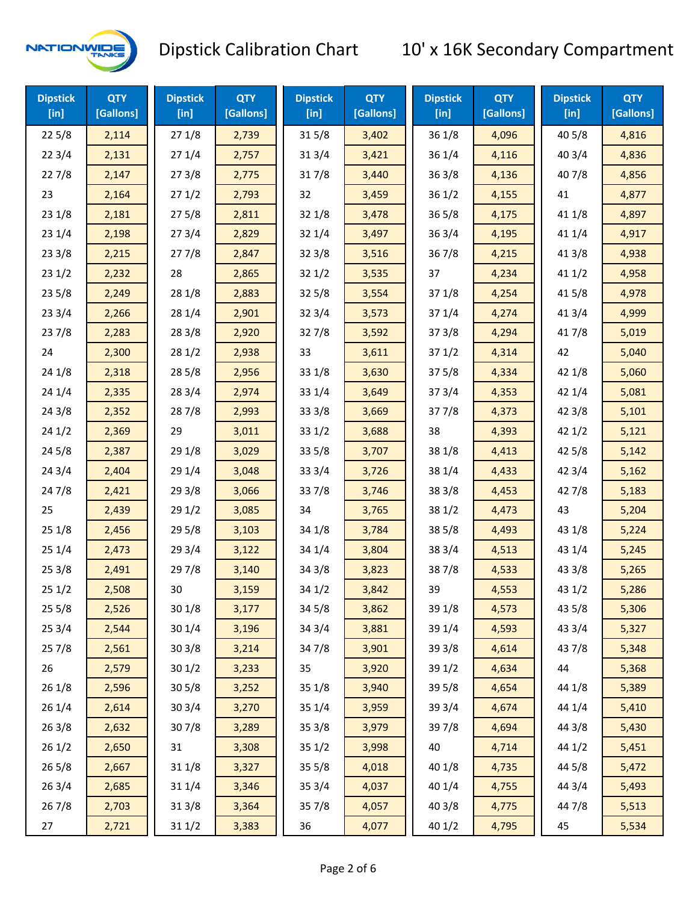

| <b>Dipstick</b><br>$[$ in] | <b>QTY</b><br>[Gallons] | <b>Dipstick</b><br>$[$ in] | <b>QTY</b><br>[Gallons] | <b>Dipstick</b><br>$[$ in] | <b>QTY</b><br>[Gallons] | <b>Dipstick</b><br>$[$ in] | <b>QTY</b><br>[Gallons] | <b>Dipstick</b><br>$[$ in] | <b>QTY</b><br>[Gallons] |
|----------------------------|-------------------------|----------------------------|-------------------------|----------------------------|-------------------------|----------------------------|-------------------------|----------------------------|-------------------------|
| 225/8                      | 2,114                   | 271/8                      | 2,739                   | 315/8                      | 3,402                   | 36 1/8                     | 4,096                   | 40 5/8                     | 4,816                   |
| 223/4                      | 2,131                   | 271/4                      | 2,757                   | 31 3/4                     | 3,421                   | 36 1/4                     | 4,116                   | 403/4                      | 4,836                   |
| 227/8                      | 2,147                   | 273/8                      | 2,775                   | 317/8                      | 3,440                   | 363/8                      | 4,136                   | 407/8                      | 4,856                   |
| 23                         | 2,164                   | 271/2                      | 2,793                   | 32                         | 3,459                   | 361/2                      | 4,155                   | 41                         | 4,877                   |
| 231/8                      | 2,181                   | 275/8                      | 2,811                   | 32 1/8                     | 3,478                   | 365/8                      | 4,175                   | 41 1/8                     | 4,897                   |
| 231/4                      | 2,198                   | 273/4                      | 2,829                   | 32 1/4                     | 3,497                   | 363/4                      | 4,195                   | 41 1/4                     | 4,917                   |
| 233/8                      | 2,215                   | 277/8                      | 2,847                   | 32 3/8                     | 3,516                   | 367/8                      | 4,215                   | 41 3/8                     | 4,938                   |
| 231/2                      | 2,232                   | 28                         | 2,865                   | 321/2                      | 3,535                   | 37                         | 4,234                   | 411/2                      | 4,958                   |
| 235/8                      | 2,249                   | 28 1/8                     | 2,883                   | 32 5/8                     | 3,554                   | 37 1/8                     | 4,254                   | 41 5/8                     | 4,978                   |
| 233/4                      | 2,266                   | 28 1/4                     | 2,901                   | 32 3/4                     | 3,573                   | 37 1/4                     | 4,274                   | 41 3/4                     | 4,999                   |
| 237/8                      | 2,283                   | 28 3/8                     | 2,920                   | 327/8                      | 3,592                   | 373/8                      | 4,294                   | 417/8                      | 5,019                   |
| 24                         | 2,300                   | 281/2                      | 2,938                   | 33                         | 3,611                   | 371/2                      | 4,314                   | 42                         | 5,040                   |
| 24 1/8                     | 2,318                   | 28 5/8                     | 2,956                   | 33 1/8                     | 3,630                   | 375/8                      | 4,334                   | 42 1/8                     | 5,060                   |
| 241/4                      | 2,335                   | 28 3/4                     | 2,974                   | 33 1/4                     | 3,649                   | 373/4                      | 4,353                   | 42 1/4                     | 5,081                   |
| 243/8                      | 2,352                   | 287/8                      | 2,993                   | 33 3/8                     | 3,669                   | 377/8                      | 4,373                   | 42 3/8                     | 5,101                   |
| 241/2                      | 2,369                   | 29                         | 3,011                   | 33 1/2                     | 3,688                   | 38                         | 4,393                   | 421/2                      | 5,121                   |
| 245/8                      | 2,387                   | 29 1/8                     | 3,029                   | 33 5/8                     | 3,707                   | 38 1/8                     | 4,413                   | 42 5/8                     | 5,142                   |
| 243/4                      | 2,404                   | 29 1/4                     | 3,048                   | 33 3/4                     | 3,726                   | 38 1/4                     | 4,433                   | 42 3/4                     | 5,162                   |
| 24 7/8                     | 2,421                   | 29 3/8                     | 3,066                   | 337/8                      | 3,746                   | 38 3/8                     | 4,453                   | 42 7/8                     | 5,183                   |
| 25                         | 2,439                   | 29 1/2                     | 3,085                   | 34                         | 3,765                   | 38 1/2                     | 4,473                   | 43                         | 5,204                   |
| 251/8                      | 2,456                   | 29 5/8                     | 3,103                   | 34 1/8                     | 3,784                   | 38 5/8                     | 4,493                   | 43 1/8                     | 5,224                   |
| 251/4                      | 2,473                   | 29 3/4                     | 3,122                   | 34 1/4                     | 3,804                   | 38 3/4                     | 4,513                   | 43 1/4                     | 5,245                   |
| 253/8                      | 2,491                   | 297/8                      | 3,140                   | 34 3/8                     | 3,823                   | 387/8                      | 4,533                   | 43 3/8                     | 5,265                   |
| 251/2                      | 2,508                   | 30                         | 3,159                   | 34 1/2                     | 3,842                   | 39                         | 4,553                   | 43 1/2                     | 5,286                   |
| 255/8                      | 2,526                   | 30 1/8                     | 3,177                   | 34 5/8                     | 3,862                   | 39 1/8                     | 4,573                   | 43 5/8                     | 5,306                   |
| 253/4                      | 2,544                   | 30 1/4                     | 3,196                   | 34 3/4                     | 3,881                   | 39 1/4                     | 4,593                   | 43 3/4                     | 5,327                   |
| 257/8                      | 2,561                   | 303/8                      | 3,214                   | 347/8                      | 3,901                   | 39 3/8                     | 4,614                   | 437/8                      | 5,348                   |
| 26                         | 2,579                   | 301/2                      | 3,233                   | 35                         | 3,920                   | 39 1/2                     | 4,634                   | 44                         | 5,368                   |
| 26 1/8                     | 2,596                   | 305/8                      | 3,252                   | 35 1/8                     | 3,940                   | 39 5/8                     | 4,654                   | 44 1/8                     | 5,389                   |
| 261/4                      | 2,614                   | 30 3/4                     | 3,270                   | 35 1/4                     | 3,959                   | 39 3/4                     | 4,674                   | 44 1/4                     | 5,410                   |
| 26 3/8                     | 2,632                   | 307/8                      | 3,289                   | 35 3/8                     | 3,979                   | 39 7/8                     | 4,694                   | 44 3/8                     | 5,430                   |
| 261/2                      | 2,650                   | 31                         | 3,308                   | 35 1/2                     | 3,998                   | 40                         | 4,714                   | 44 1/2                     | 5,451                   |
| 265/8                      | 2,667                   | 31 1/8                     | 3,327                   | 35 5/8                     | 4,018                   | 40 1/8                     | 4,735                   | 44 5/8                     | 5,472                   |
| 263/4                      | 2,685                   | 31 1/4                     | 3,346                   | 35 3/4                     | 4,037                   | 40 1/4                     | 4,755                   | 44 3/4                     | 5,493                   |
| 267/8                      | 2,703                   | 31 3/8                     | 3,364                   | 357/8                      | 4,057                   | 40 3/8                     | 4,775                   | 447/8                      | 5,513                   |
| 27                         | 2,721                   | 31 1/2                     | 3,383                   | 36                         | 4,077                   | 40 1/2                     | 4,795                   | 45                         | 5,534                   |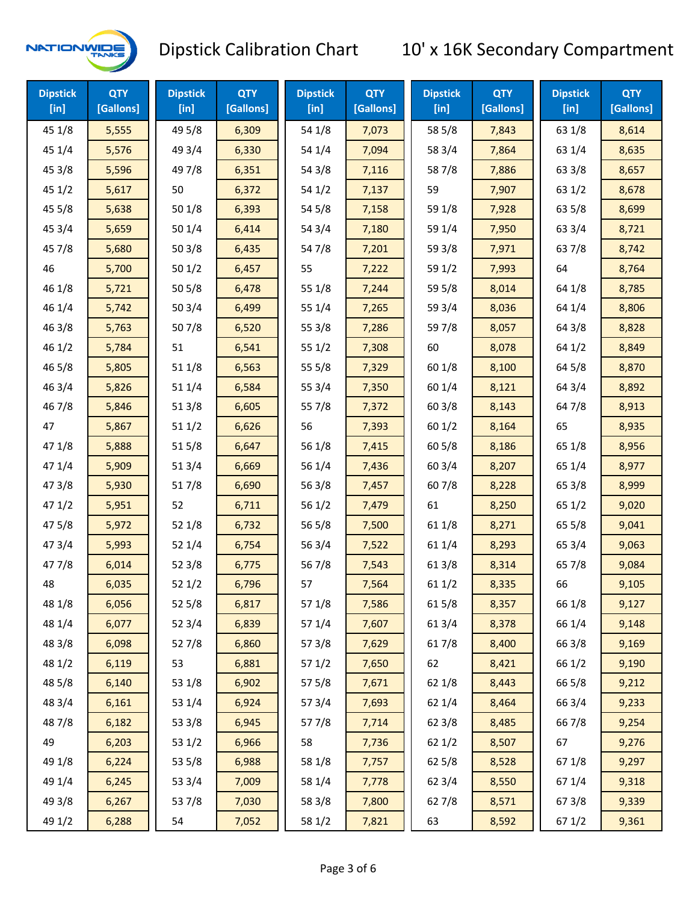

| <b>Dipstick</b><br>$[$ in] | <b>QTY</b><br>[Gallons] | <b>Dipstick</b><br>$[$ in] | <b>QTY</b><br>[Gallons] | <b>Dipstick</b><br>$[$ in] | <b>QTY</b><br>[Gallons] | <b>Dipstick</b><br>$[$ in] | <b>QTY</b><br>[Gallons] | <b>Dipstick</b><br>$[$ in] | <b>QTY</b><br>[Gallons] |
|----------------------------|-------------------------|----------------------------|-------------------------|----------------------------|-------------------------|----------------------------|-------------------------|----------------------------|-------------------------|
| 45 1/8                     | 5,555                   | 49 5/8                     | 6,309                   | 54 1/8                     | 7,073                   | 58 5/8                     | 7,843                   | 63 1/8                     | 8,614                   |
| 45 1/4                     | 5,576                   | 49 3/4                     | 6,330                   | 54 1/4                     | 7,094                   | 58 3/4                     | 7,864                   | 63 1/4                     | 8,635                   |
| 45 3/8                     | 5,596                   | 49 7/8                     | 6,351                   | 54 3/8                     | 7,116                   | 587/8                      | 7,886                   | 63 3/8                     | 8,657                   |
| 45 1/2                     | 5,617                   | 50                         | 6,372                   | 54 1/2                     | 7,137                   | 59                         | 7,907                   | 63 1/2                     | 8,678                   |
| 45 5/8                     | 5,638                   | 50 1/8                     | 6,393                   | 54 5/8                     | 7,158                   | 59 1/8                     | 7,928                   | 63 5/8                     | 8,699                   |
| 45 3/4                     | 5,659                   | 50 1/4                     | 6,414                   | 54 3/4                     | 7,180                   | 59 1/4                     | 7,950                   | 63 3/4                     | 8,721                   |
| 45 7/8                     | 5,680                   | 503/8                      | 6,435                   | 54 7/8                     | 7,201                   | 59 3/8                     | 7,971                   | 637/8                      | 8,742                   |
| 46                         | 5,700                   | 501/2                      | 6,457                   | 55                         | 7,222                   | 59 1/2                     | 7,993                   | 64                         | 8,764                   |
| 46 1/8                     | 5,721                   | 505/8                      | 6,478                   | 55 1/8                     | 7,244                   | 59 5/8                     | 8,014                   | 64 1/8                     | 8,785                   |
| 46 1/4                     | 5,742                   | 503/4                      | 6,499                   | 55 1/4                     | 7,265                   | 59 3/4                     | 8,036                   | 64 1/4                     | 8,806                   |
| 463/8                      | 5,763                   | 507/8                      | 6,520                   | 55 3/8                     | 7,286                   | 597/8                      | 8,057                   | 64 3/8                     | 8,828                   |
| 46 1/2                     | 5,784                   | 51                         | 6,541                   | 55 1/2                     | 7,308                   | 60                         | 8,078                   | 64 1/2                     | 8,849                   |
| 46 5/8                     | 5,805                   | 51 1/8                     | 6,563                   | 55 5/8                     | 7,329                   | 60 1/8                     | 8,100                   | 64 5/8                     | 8,870                   |
| 46 3/4                     | 5,826                   | 51 1/4                     | 6,584                   | 55 3/4                     | 7,350                   | 60 1/4                     | 8,121                   | 64 3/4                     | 8,892                   |
| 46 7/8                     | 5,846                   | 51 3/8                     | 6,605                   | 55 7/8                     | 7,372                   | 60 3/8                     | 8,143                   | 64 7/8                     | 8,913                   |
| 47                         | 5,867                   | 511/2                      | 6,626                   | 56                         | 7,393                   | 601/2                      | 8,164                   | 65                         | 8,935                   |
| 47 1/8                     | 5,888                   | 515/8                      | 6,647                   | 56 1/8                     | 7,415                   | 60 5/8                     | 8,186                   | 65 1/8                     | 8,956                   |
| 47 1/4                     | 5,909                   | 51 3/4                     | 6,669                   | 56 1/4                     | 7,436                   | 60 3/4                     | 8,207                   | 65 1/4                     | 8,977                   |
| 47 3/8                     | 5,930                   | 517/8                      | 6,690                   | 56 3/8                     | 7,457                   | 607/8                      | 8,228                   | 65 3/8                     | 8,999                   |
| 471/2                      | 5,951                   | 52                         | 6,711                   | 56 1/2                     | 7,479                   | 61                         | 8,250                   | 65 1/2                     | 9,020                   |
| 475/8                      | 5,972                   | 52 1/8                     | 6,732                   | 56 5/8                     | 7,500                   | 61 1/8                     | 8,271                   | 65 5/8                     | 9,041                   |
| 47 3/4                     | 5,993                   | 52 1/4                     | 6,754                   | 56 3/4                     | 7,522                   | 61 1/4                     | 8,293                   | 65 3/4                     | 9,063                   |
| 47 7/8                     | 6,014                   | 52 3/8                     | 6,775                   | 567/8                      | 7,543                   | 61 3/8                     | 8,314                   | 65 7/8                     | 9,084                   |
| 48                         | 6,035                   | 521/2                      | 6,796                   | 57                         | 7,564                   | 61 1/2                     | 8,335                   | 66                         | 9,105                   |
| 48 1/8                     | 6,056                   | 52 5/8                     | 6,817                   | 57 1/8                     | 7,586                   | 615/8                      | 8,357                   | 66 1/8                     | 9,127                   |
| 48 1/4                     | 6,077                   | 52 3/4                     | 6,839                   | 57 1/4                     | 7,607                   | 61 3/4                     | 8,378                   | 66 1/4                     | 9,148                   |
| 48 3/8                     | 6,098                   | 527/8                      | 6,860                   | 57 3/8                     | 7,629                   | 617/8                      | 8,400                   | 66 3/8                     | 9,169                   |
| 48 1/2                     | 6,119                   | 53                         | 6,881                   | 57 1/2                     | 7,650                   | 62                         | 8,421                   | 66 1/2                     | 9,190                   |
| 48 5/8                     | 6,140                   | 53 1/8                     | 6,902                   | 57 5/8                     | 7,671                   | 62 1/8                     | 8,443                   | 66 5/8                     | 9,212                   |
| 48 3/4                     | 6,161                   | 53 1/4                     | 6,924                   | 573/4                      | 7,693                   | 62 1/4                     | 8,464                   | 66 3/4                     | 9,233                   |
| 487/8                      | 6,182                   | 53 3/8                     | 6,945                   | 577/8                      | 7,714                   | 62 3/8                     | 8,485                   | 667/8                      | 9,254                   |
| 49                         | 6,203                   | 53 1/2                     | 6,966                   | 58                         | 7,736                   | 621/2                      | 8,507                   | 67                         | 9,276                   |
| 49 1/8                     | 6,224                   | 53 5/8                     | 6,988                   | 58 1/8                     | 7,757                   | 62 5/8                     | 8,528                   | 671/8                      | 9,297                   |
| 49 1/4                     | 6,245                   | 53 3/4                     | 7,009                   | 58 1/4                     | 7,778                   | 62 3/4                     | 8,550                   | 67 1/4                     | 9,318                   |
| 49 3/8                     | 6,267                   | 537/8                      | 7,030                   | 58 3/8                     | 7,800                   | 627/8                      | 8,571                   | 673/8                      | 9,339                   |
| 49 1/2                     | 6,288                   | 54                         | 7,052                   | 58 1/2                     | 7,821                   | 63                         | 8,592                   | 67 1/2                     | 9,361                   |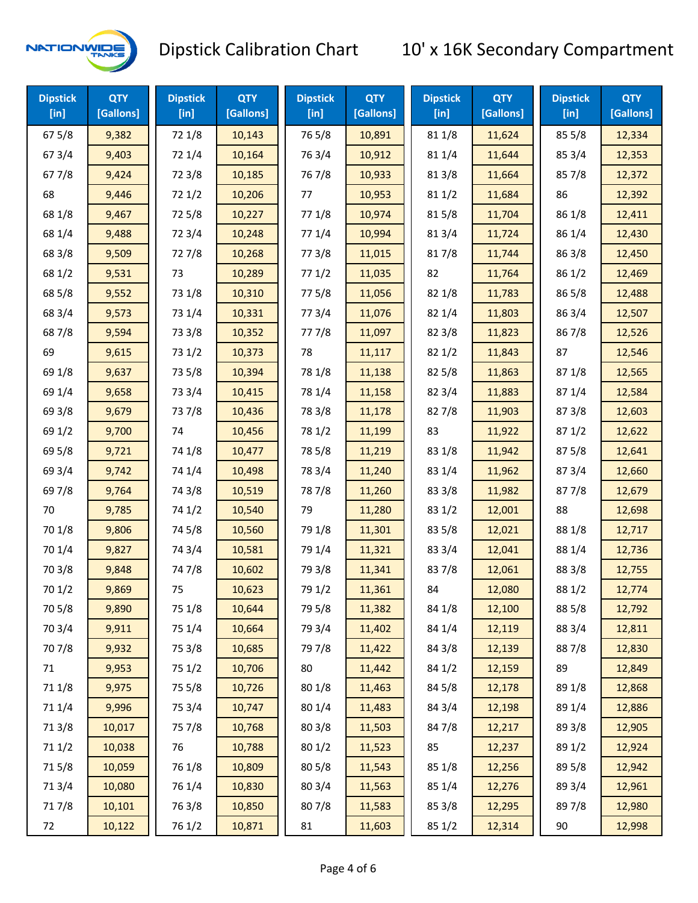

| <b>Dipstick</b><br>[in] | <b>QTY</b><br>[Gallons] | <b>Dipstick</b><br>$[$ in] | <b>QTY</b><br>[Gallons] | <b>Dipstick</b><br>$[$ in] | <b>QTY</b><br>[Gallons] | <b>Dipstick</b><br>$[$ in] | <b>QTY</b><br>[Gallons] | <b>Dipstick</b><br>$[$ in] | <b>QTY</b><br>[Gallons] |
|-------------------------|-------------------------|----------------------------|-------------------------|----------------------------|-------------------------|----------------------------|-------------------------|----------------------------|-------------------------|
| 67 5/8                  | 9,382                   | 72 1/8                     | 10,143                  | 765/8                      | 10,891                  | 81 1/8                     | 11,624                  | 85 5/8                     | 12,334                  |
| 673/4                   | 9,403                   | 72 1/4                     | 10,164                  | 763/4                      | 10,912                  | 81 1/4                     | 11,644                  | 85 3/4                     | 12,353                  |
| 677/8                   | 9,424                   | 72 3/8                     | 10,185                  | 767/8                      | 10,933                  | 81 3/8                     | 11,664                  | 857/8                      | 12,372                  |
| 68                      | 9,446                   | 72 1/2                     | 10,206                  | 77                         | 10,953                  | 81 1/2                     | 11,684                  | 86                         | 12,392                  |
| 68 1/8                  | 9,467                   | 725/8                      | 10,227                  | 77 1/8                     | 10,974                  | 815/8                      | 11,704                  | 86 1/8                     | 12,411                  |
| 68 1/4                  | 9,488                   | 72 3/4                     | 10,248                  | 77 1/4                     | 10,994                  | 813/4                      | 11,724                  | 86 1/4                     | 12,430                  |
| 68 3/8                  | 9,509                   | 727/8                      | 10,268                  | 77 3/8                     | 11,015                  | 817/8                      | 11,744                  | 86 3/8                     | 12,450                  |
| 68 1/2                  | 9,531                   | 73                         | 10,289                  | 771/2                      | 11,035                  | 82                         | 11,764                  | 86 1/2                     | 12,469                  |
| 68 5/8                  | 9,552                   | 73 1/8                     | 10,310                  | 775/8                      | 11,056                  | 82 1/8                     | 11,783                  | 86 5/8                     | 12,488                  |
| 68 3/4                  | 9,573                   | 73 1/4                     | 10,331                  | 773/4                      | 11,076                  | 82 1/4                     | 11,803                  | 86 3/4                     | 12,507                  |
| 687/8                   | 9,594                   | 73 3/8                     | 10,352                  | 777/8                      | 11,097                  | 82 3/8                     | 11,823                  | 867/8                      | 12,526                  |
| 69                      | 9,615                   | 73 1/2                     | 10,373                  | 78                         | 11,117                  | 821/2                      | 11,843                  | 87                         | 12,546                  |
| 69 1/8                  | 9,637                   | 73 5/8                     | 10,394                  | 78 1/8                     | 11,138                  | 825/8                      | 11,863                  | 871/8                      | 12,565                  |
| 69 1/4                  | 9,658                   | 73 3/4                     | 10,415                  | 78 1/4                     | 11,158                  | 82 3/4                     | 11,883                  | 87 1/4                     | 12,584                  |
| 69 3/8                  | 9,679                   | 737/8                      | 10,436                  | 78 3/8                     | 11,178                  | 827/8                      | 11,903                  | 87 3/8                     | 12,603                  |
| 69 1/2                  | 9,700                   | 74                         | 10,456                  | 78 1/2                     | 11,199                  | 83                         | 11,922                  | 871/2                      | 12,622                  |
| 69 5/8                  | 9,721                   | 74 1/8                     | 10,477                  | 78 5/8                     | 11,219                  | 83 1/8                     | 11,942                  | 875/8                      | 12,641                  |
| 69 3/4                  | 9,742                   | 74 1/4                     | 10,498                  | 78 3/4                     | 11,240                  | 83 1/4                     | 11,962                  | 87 3/4                     | 12,660                  |
| 69 7/8                  | 9,764                   | 74 3/8                     | 10,519                  | 787/8                      | 11,260                  | 83 3/8                     | 11,982                  | 877/8                      | 12,679                  |
| 70                      | 9,785                   | 74 1/2                     | 10,540                  | 79                         | 11,280                  | 83 1/2                     | 12,001                  | 88                         | 12,698                  |
| 70 1/8                  | 9,806                   | 74 5/8                     | 10,560                  | 79 1/8                     | 11,301                  | 83 5/8                     | 12,021                  | 88 1/8                     | 12,717                  |
| 70 1/4                  | 9,827                   | 74 3/4                     | 10,581                  | 79 1/4                     | 11,321                  | 83 3/4                     | 12,041                  | 88 1/4                     | 12,736                  |
| 70 3/8                  | 9,848                   | 747/8                      | 10,602                  | 79 3/8                     | 11,341                  | 837/8                      | 12,061                  | 88 3/8                     | 12,755                  |
| 70 1/2                  | 9,869                   | 75                         | 10,623                  | 79 1/2                     | 11,361                  | 84                         | 12,080                  | 88 1/2                     | 12,774                  |
| 70 5/8                  | 9,890                   | 75 1/8                     | 10,644                  | 79 5/8                     | 11,382                  | 84 1/8                     | 12,100                  | 88 5/8                     | 12,792                  |
| 70 3/4                  | 9,911                   | 75 1/4                     | 10,664                  | 79 3/4                     | 11,402                  | 84 1/4                     | 12,119                  | 88 3/4                     | 12,811                  |
| 70 7/8                  | 9,932                   | 75 3/8                     | 10,685                  | 79 7/8                     | 11,422                  | 84 3/8                     | 12,139                  | 887/8                      | 12,830                  |
| 71                      | 9,953                   | 75 1/2                     | 10,706                  | 80                         | 11,442                  | 84 1/2                     | 12,159                  | 89                         | 12,849                  |
| 71 1/8                  | 9,975                   | 75 5/8                     | 10,726                  | 80 1/8                     | 11,463                  | 845/8                      | 12,178                  | 89 1/8                     | 12,868                  |
| 71 1/4                  | 9,996                   | 75 3/4                     | 10,747                  | 80 1/4                     | 11,483                  | 84 3/4                     | 12,198                  | 89 1/4                     | 12,886                  |
| 713/8                   | 10,017                  | 75 7/8                     | 10,768                  | 80 3/8                     | 11,503                  | 847/8                      | 12,217                  | 89 3/8                     | 12,905                  |
| 71 1/2                  | 10,038                  | 76                         | 10,788                  | 80 1/2                     | 11,523                  | 85                         | 12,237                  | 89 1/2                     | 12,924                  |
| 715/8                   | 10,059                  | 76 1/8                     | 10,809                  | 80 5/8                     | 11,543                  | 85 1/8                     | 12,256                  | 89 5/8                     | 12,942                  |
| 713/4                   | 10,080                  | 76 1/4                     | 10,830                  | 80 3/4                     | 11,563                  | 85 1/4                     | 12,276                  | 89 3/4                     | 12,961                  |
| 717/8                   | 10,101                  | 763/8                      | 10,850                  | 807/8                      | 11,583                  | 85 3/8                     | 12,295                  | 897/8                      | 12,980                  |
| 72                      | 10,122                  | 76 1/2                     | 10,871                  | 81                         | 11,603                  | 85 1/2                     | 12,314                  | 90                         | 12,998                  |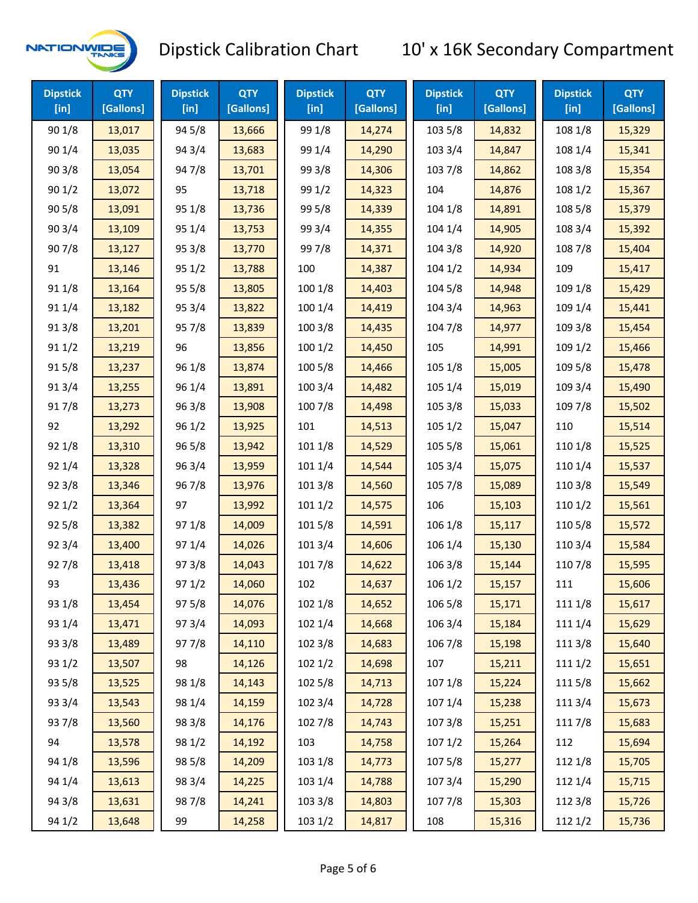

| <b>Dipstick</b><br>[ <sub>in</sub> ] | <b>QTY</b><br>[Gallons] | <b>Dipstick</b><br>[in] | <b>QTY</b><br>[Gallons] | <b>Dipstick</b><br>$[$ in] | <b>QTY</b><br>[Gallons] | <b>Dipstick</b><br>$[$ in] | <b>QTY</b><br>[Gallons] | <b>Dipstick</b><br>$[$ in] | <b>QTY</b><br>[Gallons] |
|--------------------------------------|-------------------------|-------------------------|-------------------------|----------------------------|-------------------------|----------------------------|-------------------------|----------------------------|-------------------------|
| 90 1/8                               | 13,017                  | 94 5/8                  | 13,666                  | 99 1/8                     | 14,274                  | 103 5/8                    | 14,832                  | 108 1/8                    | 15,329                  |
| 90 1/4                               | 13,035                  | 94 3/4                  | 13,683                  | 99 1/4                     | 14,290                  | 103 3/4                    | 14,847                  | 108 1/4                    | 15,341                  |
| 903/8                                | 13,054                  | 947/8                   | 13,701                  | 99 3/8                     | 14,306                  | 103 7/8                    | 14,862                  | 108 3/8                    | 15,354                  |
| 901/2                                | 13,072                  | 95                      | 13,718                  | 99 1/2                     | 14,323                  | 104                        | 14,876                  | 108 1/2                    | 15,367                  |
| 905/8                                | 13,091                  | 95 1/8                  | 13,736                  | 99 5/8                     | 14,339                  | 104 1/8                    | 14,891                  | 108 5/8                    | 15,379                  |
| 90 3/4                               | 13,109                  | 95 1/4                  | 13,753                  | 99 3/4                     | 14,355                  | 104 1/4                    | 14,905                  | 108 3/4                    | 15,392                  |
| 907/8                                | 13,127                  | 95 3/8                  | 13,770                  | 997/8                      | 14,371                  | 104 3/8                    | 14,920                  | 108 7/8                    | 15,404                  |
| 91                                   | 13,146                  | 95 1/2                  | 13,788                  | 100                        | 14,387                  | 1041/2                     | 14,934                  | 109                        | 15,417                  |
| 91 1/8                               | 13,164                  | 95 5/8                  | 13,805                  | 100 1/8                    | 14,403                  | 104 5/8                    | 14,948                  | 109 1/8                    | 15,429                  |
| 91 1/4                               | 13,182                  | 95 3/4                  | 13,822                  | 1001/4                     | 14,419                  | 104 3/4                    | 14,963                  | 109 1/4                    | 15,441                  |
| 913/8                                | 13,201                  | 957/8                   | 13,839                  | 100 3/8                    | 14,435                  | 104 7/8                    | 14,977                  | 109 3/8                    | 15,454                  |
| 911/2                                | 13,219                  | 96                      | 13,856                  | 1001/2                     | 14,450                  | 105                        | 14,991                  | 109 1/2                    | 15,466                  |
| 915/8                                | 13,237                  | 96 1/8                  | 13,874                  | 100 5/8                    | 14,466                  | 105 1/8                    | 15,005                  | 109 5/8                    | 15,478                  |
| 913/4                                | 13,255                  | 96 1/4                  | 13,891                  | 100 3/4                    | 14,482                  | 105 1/4                    | 15,019                  | 109 3/4                    | 15,490                  |
| 917/8                                | 13,273                  | 96 3/8                  | 13,908                  | 100 7/8                    | 14,498                  | 105 3/8                    | 15,033                  | 109 7/8                    | 15,502                  |
| 92                                   | 13,292                  | 96 1/2                  | 13,925                  | 101                        | 14,513                  | 1051/2                     | 15,047                  | 110                        | 15,514                  |
| 92 1/8                               | 13,310                  | 96 5/8                  | 13,942                  | 101 1/8                    | 14,529                  | 105 5/8                    | 15,061                  | 110 1/8                    | 15,525                  |
| 92 1/4                               | 13,328                  | 96 3/4                  | 13,959                  | 101 1/4                    | 14,544                  | 105 3/4                    | 15,075                  | 110 1/4                    | 15,537                  |
| 923/8                                | 13,346                  | 967/8                   | 13,976                  | 101 3/8                    | 14,560                  | 105 7/8                    | 15,089                  | 110 3/8                    | 15,549                  |
| 921/2                                | 13,364                  | 97                      | 13,992                  | 1011/2                     | 14,575                  | 106                        | 15,103                  | 110 1/2                    | 15,561                  |
| 925/8                                | 13,382                  | 97 1/8                  | 14,009                  | 101 5/8                    | 14,591                  | 106 1/8                    | 15,117                  | 110 5/8                    | 15,572                  |
| 92 3/4                               | 13,400                  | 97 1/4                  | 14,026                  | 101 3/4                    | 14,606                  | 106 1/4                    | 15,130                  | 110 3/4                    | 15,584                  |
| 927/8                                | 13,418                  | 973/8                   | 14,043                  | 101 7/8                    | 14,622                  | 106 3/8                    | 15,144                  | 110 7/8                    | 15,595                  |
| 93                                   | 13,436                  | 971/2                   | 14,060                  | 102                        | 14,637                  | 106 1/2                    | 15,157                  | 111                        | 15,606                  |
| 93 1/8                               | 13,454                  | 97 5/8                  | 14,076                  | 102 1/8                    | 14,652                  | 106 5/8                    | 15,171                  | 111 1/8                    | 15,617                  |
| 93 1/4                               | 13,471                  | 973/4                   | 14,093                  | 102 1/4                    | 14,668                  | 106 3/4                    | 15,184                  | 111 1/4                    | 15,629                  |
| 93 3/8                               | 13,489                  | 977/8                   | 14,110                  | 102 3/8                    | 14,683                  | 106 7/8                    | 15,198                  | 111 3/8                    | 15,640                  |
| 93 1/2                               | 13,507                  | 98                      | 14,126                  | 102 1/2                    | 14,698                  | 107                        | 15,211                  | 111 1/2                    | 15,651                  |
| 93 5/8                               | 13,525                  | 98 1/8                  | 14,143                  | 102 5/8                    | 14,713                  | 107 1/8                    | 15,224                  | 1115/8                     | 15,662                  |
| 93 3/4                               | 13,543                  | 98 1/4                  | 14,159                  | 102 3/4                    | 14,728                  | 107 1/4                    | 15,238                  | 111 3/4                    | 15,673                  |
| 937/8                                | 13,560                  | 98 3/8                  | 14,176                  | 102 7/8                    | 14,743                  | 1073/8                     | 15,251                  | 111 7/8                    | 15,683                  |
| 94                                   | 13,578                  | 98 1/2                  | 14,192                  | 103                        | 14,758                  | 1071/2                     | 15,264                  | 112                        | 15,694                  |
| 94 1/8                               | 13,596                  | 98 5/8                  | 14,209                  | 103 1/8                    | 14,773                  | 1075/8                     | 15,277                  | 112 1/8                    | 15,705                  |
| 94 1/4                               | 13,613                  | 98 3/4                  | 14,225                  | 103 1/4                    | 14,788                  | 107 3/4                    | 15,290                  | 112 1/4                    | 15,715                  |
| 94 3/8                               | 13,631                  | 987/8                   | 14,241                  | 103 3/8                    | 14,803                  | 1077/8                     | 15,303                  | 112 3/8                    | 15,726                  |
| 94 1/2                               | 13,648                  | 99                      | 14,258                  | 103 1/2                    | 14,817                  | 108                        | 15,316                  | 112 1/2                    | 15,736                  |